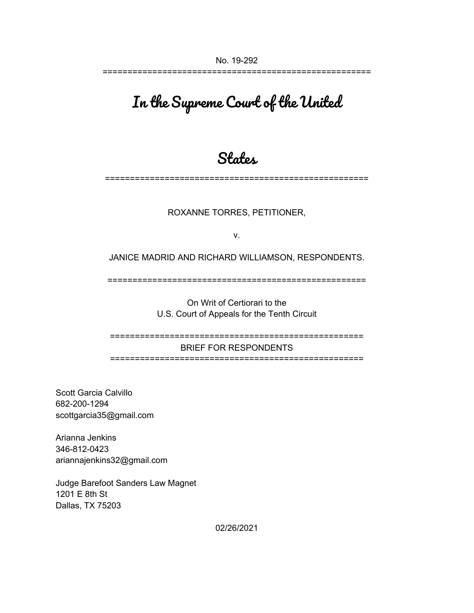======================================================

# In the Supreme Court of the United

# **States**

=====================================================

#### ROXANNE TORRES, PETITIONER,

v.

JANICE MADRID AND RICHARD WILLIAMSON, RESPONDENTS.

====================================================

On Writ of Certiorari to the U.S. Court of Appeals for the Tenth Circuit

=================================================== BRIEF FOR RESPONDENTS ===================================================

Scott Garcia Calvillo 682-200-1294 scottgarcia35@gmail.com

Arianna Jenkins 346-812-0423 ariannajenkins32@gmail.com

Judge Barefoot Sanders Law Magnet 1201 E 8th St Dallas, TX 75203

02/26/2021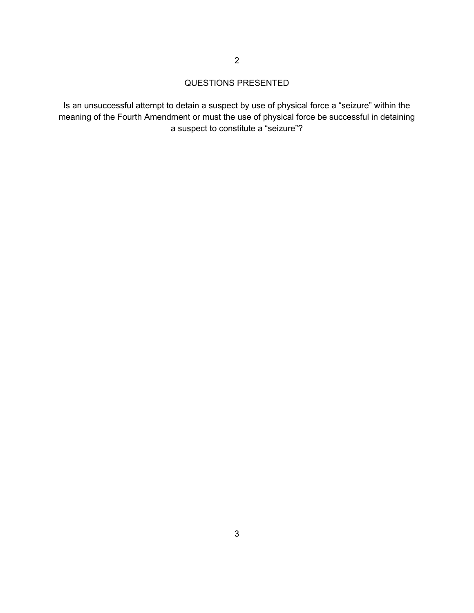# QUESTIONS PRESENTED

Is an unsuccessful attempt to detain a suspect by use of physical force a "seizure" within the meaning of the Fourth Amendment or must the use of physical force be successful in detaining a suspect to constitute a "seizure"?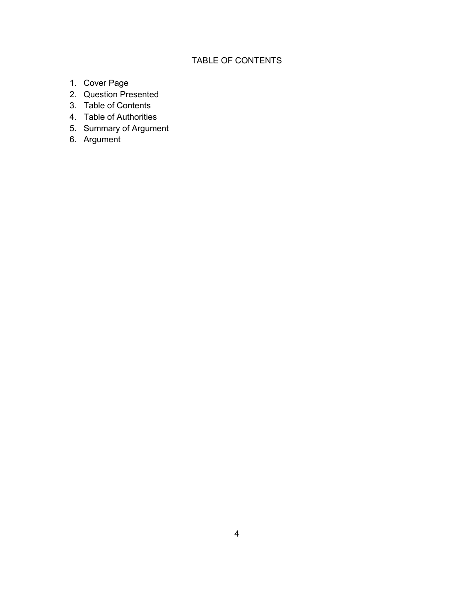# TABLE OF CONTENTS

- 1. Cover Page
- 2. Question Presented
- 3. Table of Contents
- 4. Table of Authorities
- 5. Summary of Argument
- 6. Argument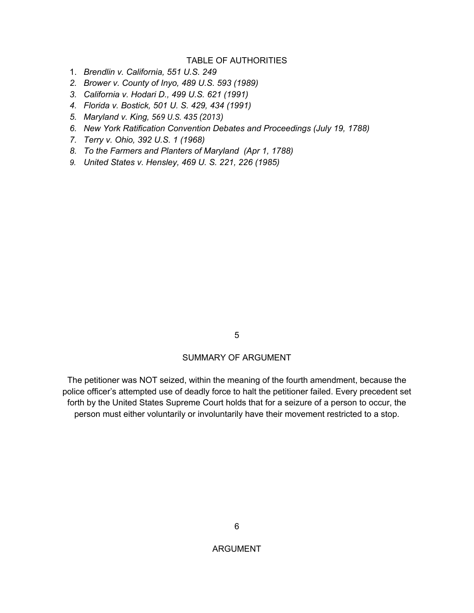# TABLE OF AUTHORITIES

- 1. *Brendlin v. California, 551 U.S. 249*
- *2. Brower v. County of Inyo, 489 U.S. 593 (1989)*
- *3. California v. Hodari D., 499 U.S. 621 (1991)*
- *4. Florida v. Bostick, 501 U. S. 429, 434 (1991)*
- *5. Maryland v. King, 569 U.S. 435 (2013)*
- *6. New York Ratification Convention Debates and Proceedings (July 19, 1788)*
- *7. Terry v. Ohio, 392 U.S. 1 (1968)*
- *8. To the Farmers and Planters of Maryland (Apr 1, 1788)*
- *9. United States v. Hensley, 469 U. S. 221, 226 (1985)*

5

# SUMMARY OF ARGUMENT

The petitioner was NOT seized, within the meaning of the fourth amendment, because the police officer's attempted use of deadly force to halt the petitioner failed. Every precedent set forth by the United States Supreme Court holds that for a seizure of a person to occur, the person must either voluntarily or involuntarily have their movement restricted to a stop.

# ARGUMENT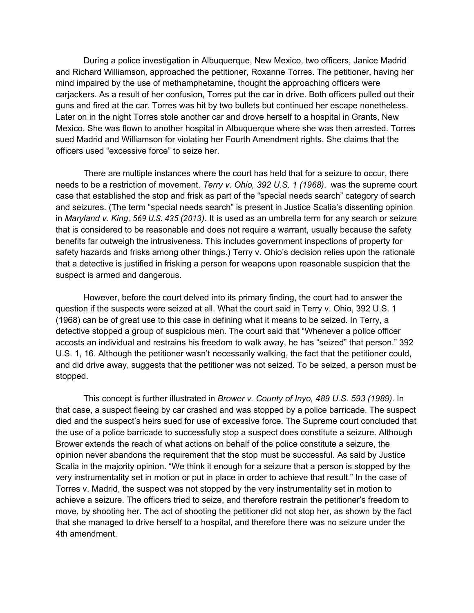During a police investigation in Albuquerque, New Mexico, two officers, Janice Madrid and Richard Williamson, approached the petitioner, Roxanne Torres. The petitioner, having her mind impaired by the use of methamphetamine, thought the approaching officers were carjackers. As a result of her confusion, Torres put the car in drive. Both officers pulled out their guns and fired at the car. Torres was hit by two bullets but continued her escape nonetheless. Later on in the night Torres stole another car and drove herself to a hospital in Grants, New Mexico. She was flown to another hospital in Albuquerque where she was then arrested. Torres sued Madrid and Williamson for violating her Fourth Amendment rights. She claims that the officers used "excessive force" to seize her.

There are multiple instances where the court has held that for a seizure to occur, there needs to be a restriction of movement. *Terry v. Ohio, 392 U.S. 1 (1968)*. was the supreme court case that established the stop and frisk as part of the "special needs search" category of search and seizures. (The term "special needs search" is present in Justice Scalia's dissenting opinion in *Maryland v. King, 569 U.S. 435 (2013)*. It is used as an umbrella term for any search or seizure that is considered to be reasonable and does not require a warrant, usually because the safety benefits far outweigh the intrusiveness. This includes government inspections of property for safety hazards and frisks among other things.) Terry v. Ohio's decision relies upon the rationale that a detective is justified in frisking a person for weapons upon reasonable suspicion that the suspect is armed and dangerous.

However, before the court delved into its primary finding, the court had to answer the question if the suspects were seized at all. What the court said in Terry v. Ohio, 392 U.S. 1 (1968) can be of great use to this case in defining what it means to be seized. In Terry, a detective stopped a group of suspicious men. The court said that "Whenever a police officer accosts an individual and restrains his freedom to walk away, he has "seized" that person." 392 U.S. 1, 16. Although the petitioner wasn't necessarily walking, the fact that the petitioner could, and did drive away, suggests that the petitioner was not seized. To be seized, a person must be stopped.

This concept is further illustrated in *Brower v. County of Inyo, 489 U.S. 593 (1989)*. In that case, a suspect fleeing by car crashed and was stopped by a police barricade. The suspect died and the suspect's heirs sued for use of excessive force. The Supreme court concluded that the use of a police barricade to successfully stop a suspect does constitute a seizure. Although Brower extends the reach of what actions on behalf of the police constitute a seizure, the opinion never abandons the requirement that the stop must be successful. As said by Justice Scalia in the majority opinion. "We think it enough for a seizure that a person is stopped by the very instrumentality set in motion or put in place in order to achieve that result." In the case of Torres v. Madrid, the suspect was not stopped by the very instrumentality set in motion to achieve a seizure. The officers tried to seize, and therefore restrain the petitioner's freedom to move, by shooting her. The act of shooting the petitioner did not stop her, as shown by the fact that she managed to drive herself to a hospital, and therefore there was no seizure under the 4th amendment.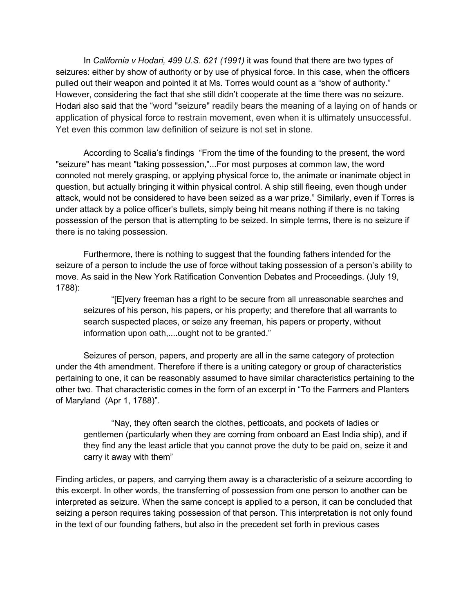In *California v Hodari, 499 U.S. 621 (1991)* it was found that there are two types of seizures: either by show of authority or by use of physical force. In this case, when the officers pulled out their weapon and pointed it at Ms. Torres would count as a "show of authority." However, considering the fact that she still didn't cooperate at the time there was no seizure. Hodari also said that the "word "seizure" readily bears the meaning of a laying on of hands or application of physical force to restrain movement, even when it is ultimately unsuccessful. Yet even this common law definition of seizure is not set in stone.

According to Scalia's findings "From the time of the founding to the present, the word "seizure" has meant "taking possession,"...For most purposes at common law, the word connoted not merely grasping, or applying physical force to, the animate or inanimate object in question, but actually bringing it within physical control. A ship still fleeing, even though under attack, would not be considered to have been seized as a war prize." Similarly, even if Torres is under attack by a police officer's bullets, simply being hit means nothing if there is no taking possession of the person that is attempting to be seized. In simple terms, there is no seizure if there is no taking possession.

Furthermore, there is nothing to suggest that the founding fathers intended for the seizure of a person to include the use of force without taking possession of a person's ability to move. As said in the New York Ratification Convention Debates and Proceedings. (July 19, 1788):

"[E]very freeman has a right to be secure from all unreasonable searches and seizures of his person, his papers, or his property; and therefore that all warrants to search suspected places, or seize any freeman, his papers or property, without information upon oath,....ought not to be granted."

Seizures of person, papers, and property are all in the same category of protection under the 4th amendment. Therefore if there is a uniting category or group of characteristics pertaining to one, it can be reasonably assumed to have similar characteristics pertaining to the other two. That characteristic comes in the form of an excerpt in "To the Farmers and Planters of Maryland (Apr 1, 1788)".

"Nay, they often search the clothes, petticoats, and pockets of ladies or gentlemen (particularly when they are coming from onboard an East India ship), and if they find any the least article that you cannot prove the duty to be paid on, seize it and carry it away with them"

Finding articles, or papers, and carrying them away is a characteristic of a seizure according to this excerpt. In other words, the transferring of possession from one person to another can be interpreted as seizure. When the same concept is applied to a person, it can be concluded that seizing a person requires taking possession of that person. This interpretation is not only found in the text of our founding fathers, but also in the precedent set forth in previous cases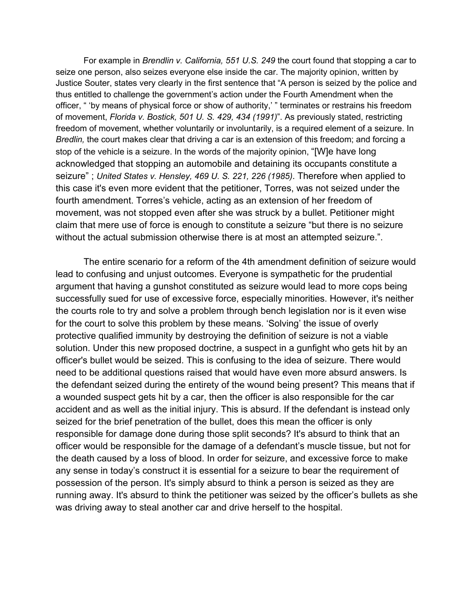For example in *Brendlin v. California, 551 U.S. 249* the court found that stopping a car to seize one person, also seizes everyone else inside the car. The majority opinion, written by Justice Souter, states very clearly in the first sentence that "A person is seized by the police and thus entitled to challenge the government's action under the Fourth Amendment when the officer, " 'by means of physical force or show of authority,' " terminates or restrains his freedom of movement, *Florida v. Bostick, 501 U. S. 429, 434 (1991)*". As previously stated, restricting freedom of movement, whether voluntarily or involuntarily, is a required element of a seizure. In *Bredlin,* the court makes clear that driving a car is an extension of this freedom; and forcing a stop of the vehicle is a seizure. In the words of the majority opinion, "[W]e have long acknowledged that stopping an automobile and detaining its occupants constitute a seizure" ; *United States v. Hensley, 469 U. S. 221, 226 (1985)*. Therefore when applied to this case it's even more evident that the petitioner, Torres, was not seized under the fourth amendment. Torres's vehicle, acting as an extension of her freedom of movement, was not stopped even after she was struck by a bullet. Petitioner might claim that mere use of force is enough to constitute a seizure "but there is no seizure without the actual submission otherwise there is at most an attempted seizure.".

The entire scenario for a reform of the 4th amendment definition of seizure would lead to confusing and unjust outcomes. Everyone is sympathetic for the prudential argument that having a gunshot constituted as seizure would lead to more cops being successfully sued for use of excessive force, especially minorities. However, it's neither the courts role to try and solve a problem through bench legislation nor is it even wise for the court to solve this problem by these means. 'Solving' the issue of overly protective qualified immunity by destroying the definition of seizure is not a viable solution. Under this new proposed doctrine, a suspect in a gunfight who gets hit by an officer's bullet would be seized. This is confusing to the idea of seizure. There would need to be additional questions raised that would have even more absurd answers. Is the defendant seized during the entirety of the wound being present? This means that if a wounded suspect gets hit by a car, then the officer is also responsible for the car accident and as well as the initial injury. This is absurd. If the defendant is instead only seized for the brief penetration of the bullet, does this mean the officer is only responsible for damage done during those split seconds? It's absurd to think that an officer would be responsible for the damage of a defendant's muscle tissue, but not for the death caused by a loss of blood. In order for seizure, and excessive force to make any sense in today's construct it is essential for a seizure to bear the requirement of possession of the person. It's simply absurd to think a person is seized as they are running away. It's absurd to think the petitioner was seized by the officer's bullets as she was driving away to steal another car and drive herself to the hospital.